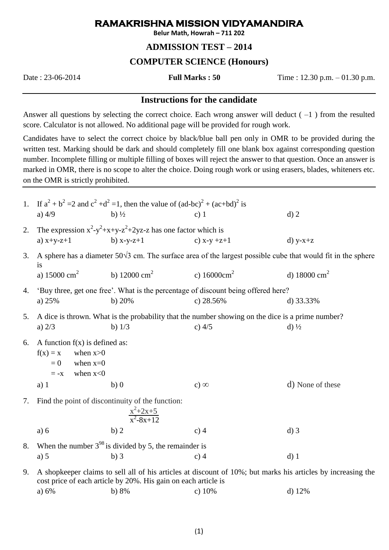# **RAMAKRISHNA MISSION VIDYAMANDIRA**

**Belur Math, Howrah – 711 202**

## **ADMISSION TEST – 2014**

## **COMPUTER SCIENCE (Honours)**

Date : 23-06-2014 **Full Marks : 50** Time : 12.30 p.m. – 01.30 p.m.

#### **Instructions for the candidate**

Answer all questions by selecting the correct choice. Each wrong answer will deduct  $(-1)$  from the resulted score. Calculator is not allowed. No additional page will be provided for rough work.

Candidates have to select the correct choice by black/blue ball pen only in OMR to be provided during the written test. Marking should be dark and should completely fill one blank box against corresponding question number. Incomplete filling or multiple filling of boxes will reject the answer to that question. Once an answer is marked in OMR, there is no scope to alter the choice. Doing rough work or using erasers, blades, whiteners etc. on the OMR is strictly prohibited.

| 1. | a) $4/9$                                                                                                    | If $a^2 + b^2 = 2$ and $c^2 + d^2 = 1$ , then the value of $(ad-bc)^2 + (ac+bd)^2$ is<br>b) $\frac{1}{2}$                                                                      | $c)$ 1                 | $d)$ 2                   |  |  |  |
|----|-------------------------------------------------------------------------------------------------------------|--------------------------------------------------------------------------------------------------------------------------------------------------------------------------------|------------------------|--------------------------|--|--|--|
| 2. | a) $x+y-z+1$                                                                                                | The expression $x^2-y^2+x+y-z^2+2yz-z$ has one factor which is<br>b) $x-y-z+1$                                                                                                 | c) $x-y +z+1$          | $d)$ y-x+z               |  |  |  |
| 3. | 1S                                                                                                          | A sphere has a diameter $50\sqrt{3}$ cm. The surface area of the largest possible cube that would fit in the sphere                                                            |                        |                          |  |  |  |
|    | a) $15000 \text{ cm}^2$                                                                                     | b) 12000 $\text{cm}^2$                                                                                                                                                         | c) $16000 \text{cm}^2$ | d) 18000 cm <sup>2</sup> |  |  |  |
| 4. | 'Buy three, get one free'. What is the percentage of discount being offered here?                           |                                                                                                                                                                                |                        |                          |  |  |  |
|    | a) 25%                                                                                                      | b) $20%$                                                                                                                                                                       | c) $28.56%$            | d) $33.33\%$             |  |  |  |
| 5. | A dice is thrown. What is the probability that the number showing on the dice is a prime number?            |                                                                                                                                                                                |                        |                          |  |  |  |
|    | a) $2/3$                                                                                                    | b) $1/3$                                                                                                                                                                       | c) $4/5$               | $d$ ) $\frac{1}{2}$      |  |  |  |
| 6. | A function $f(x)$ is defined as:<br>$f(x) = x$<br>when $x>0$<br>$= 0$<br>when $x=0$<br>when $x<0$<br>$= -x$ |                                                                                                                                                                                |                        |                          |  |  |  |
|    | $a)$ 1                                                                                                      | b)0                                                                                                                                                                            | $c)$ $\infty$          | d) None of these         |  |  |  |
| 7. | Find the point of discontinuity of the function:<br>$\frac{x^2+2x+5}{x^2-8x+12}$                            |                                                                                                                                                                                |                        |                          |  |  |  |
|    | a) 6                                                                                                        | b) 2                                                                                                                                                                           | $c)$ 4                 | $d)$ 3                   |  |  |  |
| 8. | When the number $3^{98}$ is divided by 5, the remainder is                                                  |                                                                                                                                                                                |                        |                          |  |  |  |
|    | a) $5$                                                                                                      | $b)$ 3                                                                                                                                                                         | $c)$ 4                 | $d)$ 1                   |  |  |  |
| 9. |                                                                                                             | A shopkeeper claims to sell all of his articles at discount of 10%; but marks his articles by increasing the<br>cost price of each article by 20%. His gain on each article is |                        |                          |  |  |  |

a)  $6\%$  b)  $8\%$  c)  $10\%$  d)  $12\%$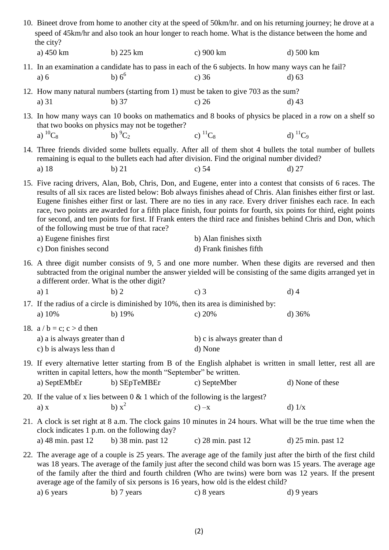| 10. Bineet drove from home to another city at the speed of 50km/hr. and on his returning journey; he drove at a<br>speed of 45km/hr and also took an hour longer to reach home. What is the distance between the home and<br>the city? |                                                                                                                                                                                                                                                                                                                                                                                                                                                                                                                                                                                                                                            |                                                                                               |                                                                                                                   |                                                                                                                                      |  |  |  |
|----------------------------------------------------------------------------------------------------------------------------------------------------------------------------------------------------------------------------------------|--------------------------------------------------------------------------------------------------------------------------------------------------------------------------------------------------------------------------------------------------------------------------------------------------------------------------------------------------------------------------------------------------------------------------------------------------------------------------------------------------------------------------------------------------------------------------------------------------------------------------------------------|-----------------------------------------------------------------------------------------------|-------------------------------------------------------------------------------------------------------------------|--------------------------------------------------------------------------------------------------------------------------------------|--|--|--|
|                                                                                                                                                                                                                                        | a) 450 km                                                                                                                                                                                                                                                                                                                                                                                                                                                                                                                                                                                                                                  | b) 225 km                                                                                     | c) 900 km                                                                                                         | d) 500 km                                                                                                                            |  |  |  |
|                                                                                                                                                                                                                                        | a) 6                                                                                                                                                                                                                                                                                                                                                                                                                                                                                                                                                                                                                                       | b) $6^{\circ}$                                                                                | 11. In an examination a candidate has to pass in each of the 6 subjects. In how many ways can he fail?<br>c) $36$ | $d$ ) 63                                                                                                                             |  |  |  |
|                                                                                                                                                                                                                                        | a) 31                                                                                                                                                                                                                                                                                                                                                                                                                                                                                                                                                                                                                                      | $b)$ 37                                                                                       | 12. How many natural numbers (starting from 1) must be taken to give 703 as the sum?<br>c) $26$                   | $d)$ 43                                                                                                                              |  |  |  |
|                                                                                                                                                                                                                                        | a) ${}^{10}C_8$                                                                                                                                                                                                                                                                                                                                                                                                                                                                                                                                                                                                                            | that two books on physics may not be together?<br>b) $^{9}C_2$                                | c) ${}^{11}C_8$                                                                                                   | 13. In how many ways can 10 books on mathematics and 8 books of physics be placed in a row on a shelf so<br>d) ${}^{11}C_9$          |  |  |  |
|                                                                                                                                                                                                                                        | 14. Three friends divided some bullets equally. After all of them shot 4 bullets the total number of bullets<br>remaining is equal to the bullets each had after division. Find the original number divided?<br>a) $18$<br>$b)$ 21<br>c) $54$<br>$d)$ 27                                                                                                                                                                                                                                                                                                                                                                                   |                                                                                               |                                                                                                                   |                                                                                                                                      |  |  |  |
|                                                                                                                                                                                                                                        | 15. Five racing drivers, Alan, Bob, Chris, Don, and Eugene, enter into a contest that consists of 6 races. The<br>results of all six races are listed below: Bob always finishes ahead of Chris. Alan finishes either first or last.<br>Eugene finishes either first or last. There are no ties in any race. Every driver finishes each race. In each<br>race, two points are awarded for a fifth place finish, four points for fourth, six points for third, eight points<br>for second, and ten points for first. If Frank enters the third race and finishes behind Chris and Don, which<br>of the following must be true of that race? |                                                                                               |                                                                                                                   |                                                                                                                                      |  |  |  |
|                                                                                                                                                                                                                                        | a) Eugene finishes first<br>c) Don finishes second                                                                                                                                                                                                                                                                                                                                                                                                                                                                                                                                                                                         |                                                                                               | b) Alan finishes sixth<br>d) Frank finishes fifth                                                                 |                                                                                                                                      |  |  |  |
|                                                                                                                                                                                                                                        | 16. A three digit number consists of 9, 5 and one more number. When these digits are reversed and then<br>subtracted from the original number the answer yielded will be consisting of the same digits arranged yet in<br>a different order. What is the other digit?                                                                                                                                                                                                                                                                                                                                                                      |                                                                                               |                                                                                                                   |                                                                                                                                      |  |  |  |
|                                                                                                                                                                                                                                        | $a)$ 1                                                                                                                                                                                                                                                                                                                                                                                                                                                                                                                                                                                                                                     | b)2                                                                                           | c) $3$                                                                                                            | $d)$ 4                                                                                                                               |  |  |  |
|                                                                                                                                                                                                                                        | a) $10%$                                                                                                                                                                                                                                                                                                                                                                                                                                                                                                                                                                                                                                   | b) $19%$                                                                                      | 17. If the radius of a circle is diminished by 10%, then its area is diminished by:<br>c) $20%$                   | d) $36%$                                                                                                                             |  |  |  |
|                                                                                                                                                                                                                                        | 18. $a/b = c$ ; $c > d$ then<br>a) a is always greater than d<br>c) b is always less than d                                                                                                                                                                                                                                                                                                                                                                                                                                                                                                                                                |                                                                                               | b) c is always greater than d<br>d) None                                                                          |                                                                                                                                      |  |  |  |
|                                                                                                                                                                                                                                        | a) SeptEMbEr                                                                                                                                                                                                                                                                                                                                                                                                                                                                                                                                                                                                                               | written in capital letters, how the month "September" be written.<br>b) SEpTeMBEr             | c) SepteMber                                                                                                      | 19. If every alternative letter starting from B of the English alphabet is written in small letter, rest all are<br>d) None of these |  |  |  |
|                                                                                                                                                                                                                                        | a) x                                                                                                                                                                                                                                                                                                                                                                                                                                                                                                                                                                                                                                       | 20. If the value of x lies between $0 < 1$ which of the following is the largest?<br>b) $x^2$ | $c$ ) $-x$                                                                                                        | $d)$ 1/x                                                                                                                             |  |  |  |
|                                                                                                                                                                                                                                        | 21. A clock is set right at 8 a.m. The clock gains 10 minutes in 24 hours. What will be the true time when the<br>clock indicates 1 p.m. on the following day?<br>a) 48 min. past 12<br>b) $38 \text{ min.}$ past $12$<br>c) $28 \text{ min.}$ past $12$<br>d) $25 \text{ min.}$ past $12$                                                                                                                                                                                                                                                                                                                                                 |                                                                                               |                                                                                                                   |                                                                                                                                      |  |  |  |
|                                                                                                                                                                                                                                        | 22. The average age of a couple is 25 years. The average age of the family just after the birth of the first child<br>was 18 years. The average of the family just after the second child was born was 15 years. The average age<br>of the family after the third and fourth children (Who are twins) were born was 12 years. If the present<br>average age of the family of six persons is 16 years, how old is the eldest child?                                                                                                                                                                                                         |                                                                                               |                                                                                                                   |                                                                                                                                      |  |  |  |

a) 6 years b) 7 years c) 8 years d) 9 years